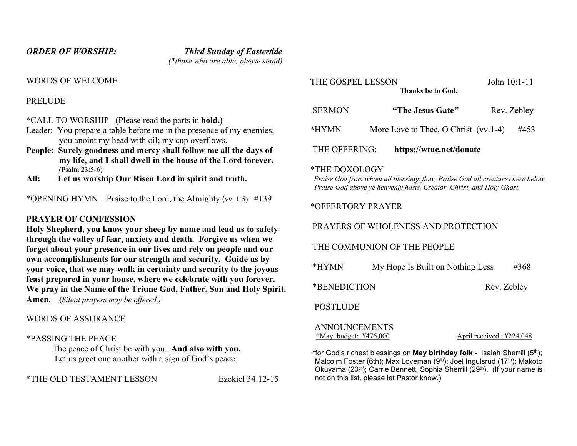ORDER OF WORSHIP: Third Sunday of Eastertide (\*those who are able, please stand)

WORDS OF WELCOME

**PRELUDE** 

\*CALL TO WORSHIP (Please read the parts in bold.)

- Leader: You prepare a table before me in the presence of my enemies; you anoint my head with oil; my cup overflows.
- People: Surely goodness and mercy shall follow me all the days of my life, and I shall dwell in the house of the Lord forever. (Psalm 23:5-6)
- All: Let us worship Our Risen Lord in spirit and truth.

\*OPENING HYMN Praise to the Lord, the Almighty (vv. 1-5)  $\#139$ 

## PRAYER OF CONFESSION

Holy Shepherd, you know your sheep by name and lead us to safety through the valley of fear, anxiety and death. Forgive us when we forget about your presence in our lives and rely on people and our own accomplishments for our strength and security. Guide us by your voice, that we may walk in certainty and security to the joyous feast prepared in your house, where we celebrate with you forever. We pray in the Name of the Triune God, Father, Son and Holy Spirit. Amen. (Silent prayers may be offered.)

### WORDS OF ASSURANCE

### \*PASSING THE PEACE

 The peace of Christ be with you. And also with you. Let us greet one another with a sign of God's peace.

\*THE OLD TESTAMENT LESSON Ezekiel 34:12-15

Thanks be to God.

| <b>SERMON</b> | "The Jesus Gate"                       | Rev. Zebley |
|---------------|----------------------------------------|-------------|
| *HYMN         | More Love to Thee, O Christ $(vv.1-4)$ | #453        |
| THE OFFERING: | https://wtuc.net/donate                |             |

#### \*THE DOXOLOGY

 Praise God from whom all blessings flow, Praise God all creatures here below, Praise God above ye heavenly hosts, Creator, Christ, and Holy Ghost.

# \*OFFERTORY PRAYER

PRAYERS OF WHOLENESS AND PROTECTION

THE COMMUNION OF THE PEOPLE

| *HYMN | My Hope Is Built on Nothing Less | #368 |
|-------|----------------------------------|------|
|       |                                  |      |

\*BENEDICTION Rev. Zebley

### POSTLUDE

 ANNOUNCEMENTS \*May budget: ¥476,000 April received : ¥224,048

\*for God's richest blessings on **May birthday folk** - Isaiah Sherrill  $(5<sup>th</sup>)$ ; Malcolm Foster (6th); Max Loveman (9<sup>th</sup>); Joel Ingulsrud (17<sup>th</sup>); Makoto Okuyama (20<sup>th</sup>); Carrie Bennett, Sophia Sherrill (29<sup>th</sup>). (If your name is not on this list, please let Pastor know.)